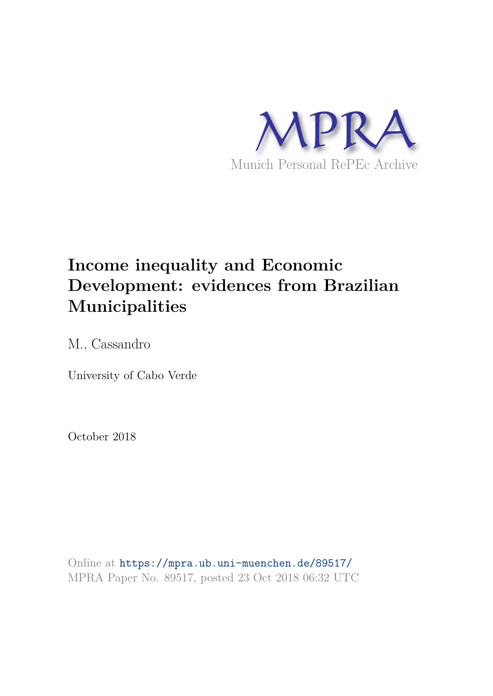

### **Income inequality and Economic Development: evidences from Brazilian Municipalities**

M., Cassandro

University of Cabo Verde

October 2018

Online at https://mpra.ub.uni-muenchen.de/89517/ MPRA Paper No. 89517, posted 23 Oct 2018 06:32 UTC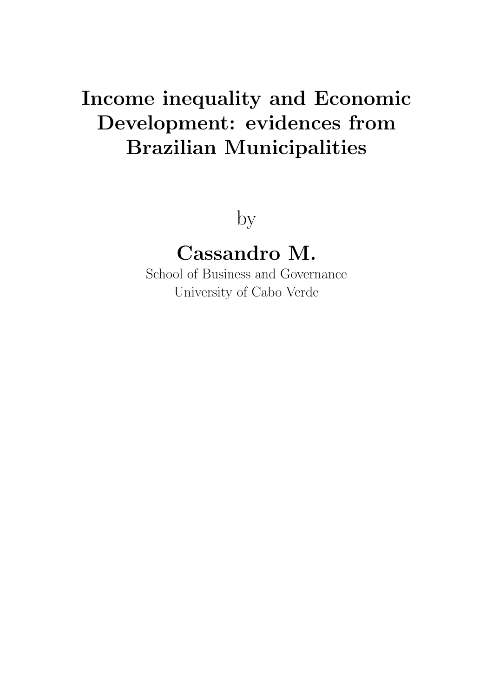# Income inequality and Economic Development: evidences from Brazilian Municipalities

by

## Cassandro M.

School of Business and Governance University of Cabo Verde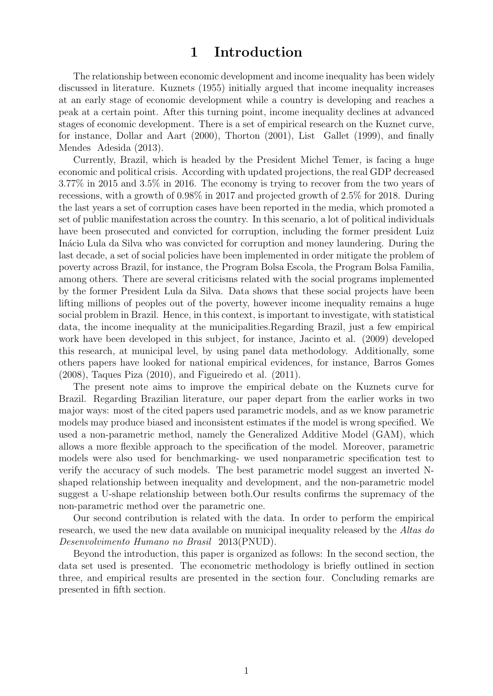### 1 Introduction

The relationship between economic development and income inequality has been widely discussed in literature. Kuznets (1955) initially argued that income inequality increases at an early stage of economic development while a country is developing and reaches a peak at a certain point. After this turning point, income inequality declines at advanced stages of economic development. There is a set of empirical research on the Kuznet curve, for instance, Dollar and Aart (2000), Thorton (2001), List Gallet (1999), and finally Mendes Adesida (2013).

Currently, Brazil, which is headed by the President Michel Temer, is facing a huge economic and political crisis. According with updated projections, the real GDP decreased 3.77% in 2015 and 3.5% in 2016. The economy is trying to recover from the two years of recessions, with a growth of 0.98% in 2017 and projected growth of 2.5% for 2018. During the last years a set of corruption cases have been reported in the media, which promoted a set of public manifestation across the country. In this scenario, a lot of political individuals have been prosecuted and convicted for corruption, including the former president Luiz Inácio Lula da Silva who was convicted for corruption and money laundering. During the last decade, a set of social policies have been implemented in order mitigate the problem of poverty across Brazil, for instance, the Program Bolsa Escola, the Program Bolsa Familia, among others. There are several criticisms related with the social programs implemented by the former President Lula da Silva. Data shows that these social projects have been lifting millions of peoples out of the poverty, however income inequality remains a huge social problem in Brazil. Hence, in this context, is important to investigate, with statistical data, the income inequality at the municipalities.Regarding Brazil, just a few empirical work have been developed in this subject, for instance, Jacinto et al. (2009) developed this research, at municipal level, by using panel data methodology. Additionally, some others papers have looked for national empirical evidences, for instance, Barros Gomes (2008), Taques Piza (2010), and Figueiredo et al. (2011).

The present note aims to improve the empirical debate on the Kuznets curve for Brazil. Regarding Brazilian literature, our paper depart from the earlier works in two major ways: most of the cited papers used parametric models, and as we know parametric models may produce biased and inconsistent estimates if the model is wrong specified. We used a non-parametric method, namely the Generalized Additive Model (GAM), which allows a more flexible approach to the specification of the model. Moreover, parametric models were also used for benchmarking- we used nonparametric specification test to verify the accuracy of such models. The best parametric model suggest an inverted Nshaped relationship between inequality and development, and the non-parametric model suggest a U-shape relationship between both.Our results confirms the supremacy of the non-parametric method over the parametric one.

Our second contribution is related with the data. In order to perform the empirical research, we used the new data available on municipal inequality released by the Altas do Desenvolvimento Humano no Brasil 2013(PNUD).

Beyond the introduction, this paper is organized as follows: In the second section, the data set used is presented. The econometric methodology is briefly outlined in section three, and empirical results are presented in the section four. Concluding remarks are presented in fifth section.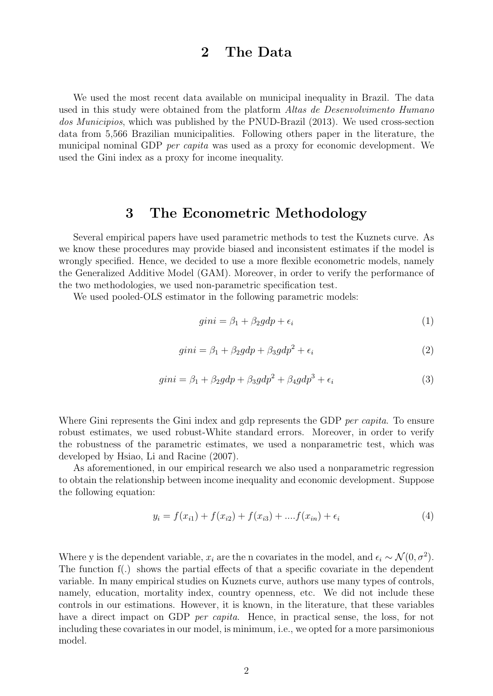### 2 The Data

We used the most recent data available on municipal inequality in Brazil. The data used in this study were obtained from the platform *Altas de Desenvolvimento Humano* dos Municipios, which was published by the PNUD-Brazil (2013). We used cross-section data from 5,566 Brazilian municipalities. Following others paper in the literature, the municipal nominal GDP per capita was used as a proxy for economic development. We used the Gini index as a proxy for income inequality.

#### 3 The Econometric Methodology

Several empirical papers have used parametric methods to test the Kuznets curve. As we know these procedures may provide biased and inconsistent estimates if the model is wrongly specified. Hence, we decided to use a more flexible econometric models, namely the Generalized Additive Model (GAM). Moreover, in order to verify the performance of the two methodologies, we used non-parametric specification test.

We used pooled-OLS estimator in the following parametric models:

$$
gini = \beta_1 + \beta_2 gdp + \epsilon_i \tag{1}
$$

$$
gini = \beta_1 + \beta_2 gdp + \beta_3 gdp^2 + \epsilon_i \tag{2}
$$

$$
gini = \beta_1 + \beta_2 gdp + \beta_3 gdp^2 + \beta_4 gdp^3 + \epsilon_i \tag{3}
$$

Where Gini represents the Gini index and gdp represents the GDP *per capita*. To ensure robust estimates, we used robust-White standard errors. Moreover, in order to verify the robustness of the parametric estimates, we used a nonparametric test, which was developed by Hsiao, Li and Racine (2007).

As aforementioned, in our empirical research we also used a nonparametric regression to obtain the relationship between income inequality and economic development. Suppose the following equation:

$$
y_i = f(x_{i1}) + f(x_{i2}) + f(x_{i3}) + \dots + f(x_{in}) + \epsilon_i
$$
\n<sup>(4)</sup>

Where y is the dependent variable,  $x_i$  are the n covariates in the model, and  $\epsilon_i \sim \mathcal{N}(0, \sigma^2)$ . The function f(.) shows the partial effects of that a specific covariate in the dependent variable. In many empirical studies on Kuznets curve, authors use many types of controls, namely, education, mortality index, country openness, etc. We did not include these controls in our estimations. However, it is known, in the literature, that these variables have a direct impact on GDP *per capita*. Hence, in practical sense, the loss, for not including these covariates in our model, is minimum, i.e., we opted for a more parsimonious model.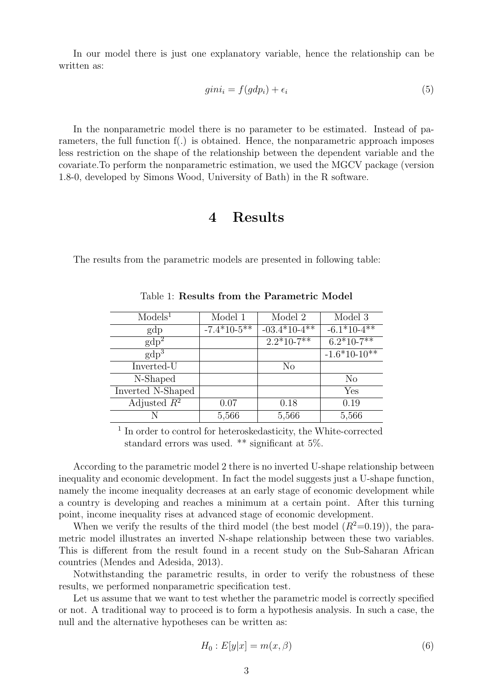In our model there is just one explanatory variable, hence the relationship can be written as:

$$
gini_i = f(gdp_i) + \epsilon_i \tag{5}
$$

In the nonparametric model there is no parameter to be estimated. Instead of parameters, the full function  $f(.)$  is obtained. Hence, the nonparametric approach imposes less restriction on the shape of the relationship between the dependent variable and the covariate.To perform the nonparametric estimation, we used the MGCV package (version 1.8-0, developed by Simons Wood, University of Bath) in the R software.

#### 4 Results

The results from the parametric models are presented in following table:

| Models <sup>1</sup> | Model 1       | Model 2        | Model 3                  |
|---------------------|---------------|----------------|--------------------------|
| gdp                 | $-7.4*10-5**$ | $-03.4*10-4**$ | $-6.\overline{1*10-4**}$ |
| $\text{gdp}^2$      |               | $2.2*10-7**$   | $6.\overline{2*10-7**}$  |
| $\text{gdp}^3$      |               |                | $-1.6*10-10**$           |
| Inverted-U          |               | N <sub>o</sub> |                          |
| N-Shaped            |               |                | N <sub>o</sub>           |
| Inverted N-Shaped   |               |                | Yes                      |
| Adjusted $R^2$      | 0.07          | 0.18           | 0.19                     |
|                     | 5,566         | 5,566          | 5,566                    |

Table 1: Results from the Parametric Model

<sup>1</sup> In order to control for heteroskedasticity, the White-corrected standard errors was used. \*\* significant at 5%.

According to the parametric model 2 there is no inverted U-shape relationship between inequality and economic development. In fact the model suggests just a U-shape function, namely the income inequality decreases at an early stage of economic development while a country is developing and reaches a minimum at a certain point. After this turning point, income inequality rises at advanced stage of economic development.

When we verify the results of the third model (the best model  $(R^2=0.19)$ ), the parametric model illustrates an inverted N-shape relationship between these two variables. This is different from the result found in a recent study on the Sub-Saharan African countries (Mendes and Adesida, 2013).

Notwithstanding the parametric results, in order to verify the robustness of these results, we performed nonparametric specification test.

Let us assume that we want to test whether the parametric model is correctly specified or not. A traditional way to proceed is to form a hypothesis analysis. In such a case, the null and the alternative hypotheses can be written as:

$$
H_0: E[y|x] = m(x, \beta)
$$
\n<sup>(6)</sup>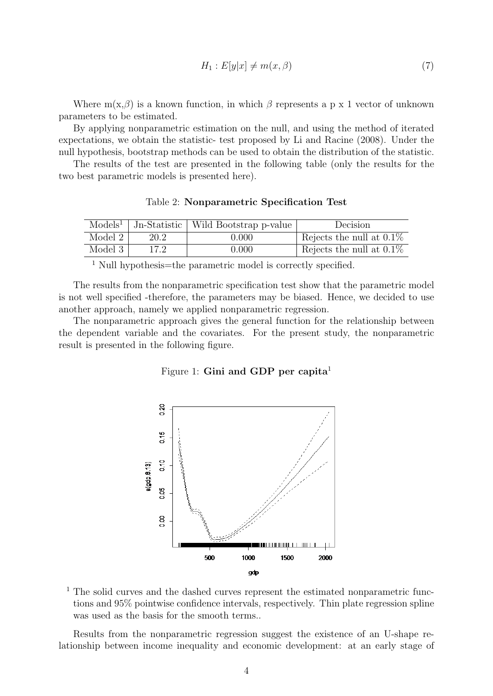$$
H_1: E[y|x] \neq m(x, \beta) \tag{7}
$$

Where  $m(x,\beta)$  is a known function, in which  $\beta$  represents a p x 1 vector of unknown parameters to be estimated.

By applying nonparametric estimation on the null, and using the method of iterated expectations, we obtain the statistic- test proposed by Li and Racine (2008). Under the null hypothesis, bootstrap methods can be used to obtain the distribution of the statistic.

The results of the test are presented in the following table (only the results for the two best parametric models is presented here).

|           |      | $\text{Models}^1$   Jn-Statistic   Wild Bootstrap p-value | Decision                    |
|-----------|------|-----------------------------------------------------------|-----------------------------|
| Model $2$ | 20.2 | 0.000                                                     | Rejects the null at $0.1\%$ |
| Model $3$ | 17.2 | 0.000                                                     | Rejects the null at $0.1\%$ |

Table 2: Nonparametric Specification Test

<sup>1</sup> Null hypothesis=the parametric model is correctly specified.

The results from the nonparametric specification test show that the parametric model is not well specified -therefore, the parameters may be biased. Hence, we decided to use another approach, namely we applied nonparametric regression.

The nonparametric approach gives the general function for the relationship between the dependent variable and the covariates. For the present study, the nonparametric result is presented in the following figure.

#### Figure 1: Gini and GDP per capita<sup>1</sup>



<sup>1</sup> The solid curves and the dashed curves represent the estimated nonparametric functions and 95% pointwise confidence intervals, respectively. Thin plate regression spline was used as the basis for the smooth terms..

Results from the nonparametric regression suggest the existence of an U-shape relationship between income inequality and economic development: at an early stage of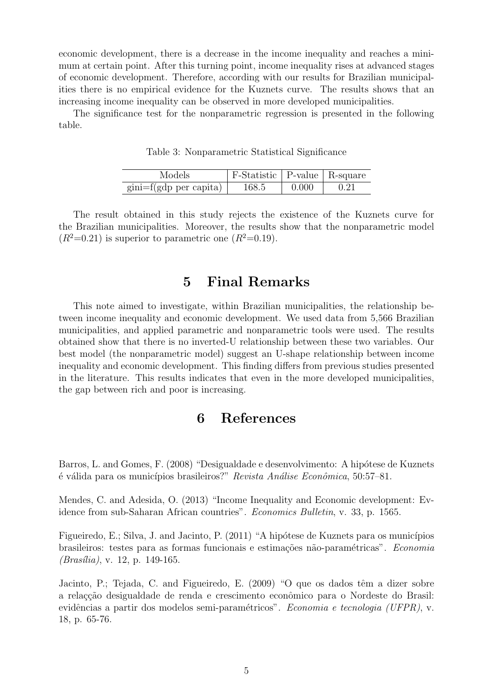economic development, there is a decrease in the income inequality and reaches a minimum at certain point. After this turning point, income inequality rises at advanced stages of economic development. Therefore, according with our results for Brazilian municipalities there is no empirical evidence for the Kuznets curve. The results shows that an increasing income inequality can be observed in more developed municipalities.

The significance test for the nonparametric regression is presented in the following table.

| Table 3: Nonparametric Statistical Significance |  |  |
|-------------------------------------------------|--|--|
|-------------------------------------------------|--|--|

| Models                                 | F-Statistic   P-value   R-square |       |      |
|----------------------------------------|----------------------------------|-------|------|
| $\text{gini=}f(\text{gdp per capita})$ | 168.5                            | 0.000 | 0.21 |

The result obtained in this study rejects the existence of the Kuznets curve for the Brazilian municipalities. Moreover, the results show that the nonparametric model  $(R^2=0.21)$  is superior to parametric one  $(R^2=0.19)$ .

### 5 Final Remarks

This note aimed to investigate, within Brazilian municipalities, the relationship between income inequality and economic development. We used data from 5,566 Brazilian municipalities, and applied parametric and nonparametric tools were used. The results obtained show that there is no inverted-U relationship between these two variables. Our best model (the nonparametric model) suggest an U-shape relationship between income inequality and economic development. This finding differs from previous studies presented in the literature. This results indicates that even in the more developed municipalities, the gap between rich and poor is increasing.

### 6 References

Barros, L. and Gomes, F. (2008) "Desigualdade e desenvolvimento: A hipótese de Kuznets  $\acute{\text{e}}$  válida para os municípios brasileiros?" Revista Análise Econômica, 50:57–81.

Mendes, C. and Adesida, O. (2013) "Income Inequality and Economic development: Evidence from sub-Saharan African countries". Economics Bulletin, v. 33, p. 1565.

Figueiredo, E.; Silva, J. and Jacinto, P. (2011) "A hipótese de Kuznets para os municípios brasileiros: testes para as formas funcionais e estimações não-paramétricas". Economia  $(Brasília)$ , v. 12, p. 149-165.

Jacinto, P.; Tejada, C. and Figueiredo, E. (2009) "O que os dados têm a dizer sobre a relaçção desigualdade de renda e crescimento econômico para o Nordeste do Brasil: evidências a partir dos modelos semi-paramétricos". Economia e tecnologia (UFPR), v. 18, p. 65-76.